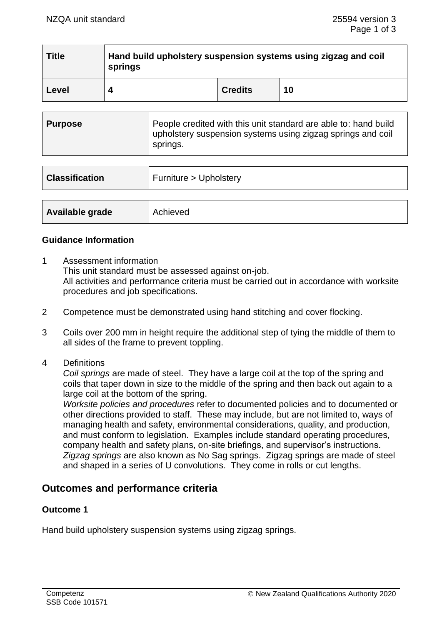| <b>Title</b> | Hand build upholstery suspension systems using zigzag and coil<br>springs |                |    |
|--------------|---------------------------------------------------------------------------|----------------|----|
| Level        |                                                                           | <b>Credits</b> | 10 |

| People credited with this unit standard are able to: hand build<br>  Purpose<br>upholstery suspension systems using zigzag springs and coil<br>springs. |
|---------------------------------------------------------------------------------------------------------------------------------------------------------|
|---------------------------------------------------------------------------------------------------------------------------------------------------------|

| <b>Classification</b> | Furniture > Upholstery |  |
|-----------------------|------------------------|--|
|                       |                        |  |
| Available grade       | Achieved               |  |

### **Guidance Information**

- 1 Assessment information This unit standard must be assessed against on-job. All activities and performance criteria must be carried out in accordance with worksite procedures and job specifications.
- 2 Competence must be demonstrated using hand stitching and cover flocking.
- 3 Coils over 200 mm in height require the additional step of tying the middle of them to all sides of the frame to prevent toppling.
- 4 Definitions

*Coil springs* are made of steel. They have a large coil at the top of the spring and coils that taper down in size to the middle of the spring and then back out again to a large coil at the bottom of the spring.

*Worksite policies and procedures* refer to documented policies and to documented or other directions provided to staff. These may include, but are not limited to, ways of managing health and safety, environmental considerations, quality, and production, and must conform to legislation. Examples include standard operating procedures, company health and safety plans, on-site briefings, and supervisor's instructions. *Zigzag springs* are also known as No Sag springs. Zigzag springs are made of steel and shaped in a series of U convolutions. They come in rolls or cut lengths.

## **Outcomes and performance criteria**

## **Outcome 1**

Hand build upholstery suspension systems using zigzag springs.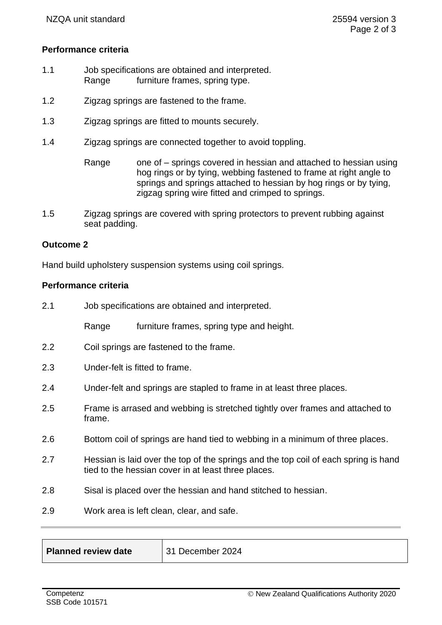## **Performance criteria**

- 1.1 Job specifications are obtained and interpreted. Range furniture frames, spring type.
- 1.2 Zigzag springs are fastened to the frame.
- 1.3 Zigzag springs are fitted to mounts securely.
- 1.4 Zigzag springs are connected together to avoid toppling.
	- Range one of springs covered in hessian and attached to hessian using hog rings or by tying, webbing fastened to frame at right angle to springs and springs attached to hessian by hog rings or by tying, zigzag spring wire fitted and crimped to springs.
- 1.5 Zigzag springs are covered with spring protectors to prevent rubbing against seat padding.

## **Outcome 2**

Hand build upholstery suspension systems using coil springs.

#### **Performance criteria**

| 2.1 | Job specifications are obtained and interpreted. |                                                                                                                                            |
|-----|--------------------------------------------------|--------------------------------------------------------------------------------------------------------------------------------------------|
|     | Range                                            | furniture frames, spring type and height.                                                                                                  |
| 2.2 |                                                  | Coil springs are fastened to the frame.                                                                                                    |
| 2.3 |                                                  | Under-felt is fitted to frame.                                                                                                             |
| 2.4 |                                                  | Under-felt and springs are stapled to frame in at least three places.                                                                      |
| 2.5 | frame.                                           | Frame is arrased and webbing is stretched tightly over frames and attached to                                                              |
| 2.6 |                                                  | Bottom coil of springs are hand tied to webbing in a minimum of three places.                                                              |
| 2.7 |                                                  | Hessian is laid over the top of the springs and the top coil of each spring is hand<br>tied to the hessian cover in at least three places. |
| 2.8 |                                                  | Sisal is placed over the hessian and hand stitched to hessian.                                                                             |
| 2.9 |                                                  | Work area is left clean, clear, and safe.                                                                                                  |

| Planned review date | 31 Decer |
|---------------------|----------|
|---------------------|----------|

mber 2024